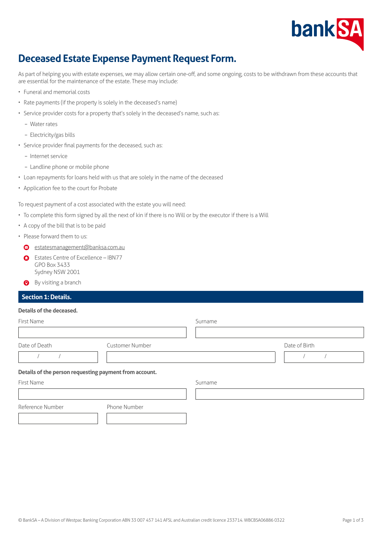

# **Deceased Estate Expense Payment Request Form.**

As part of helping you with estate expenses, we may allow certain one-off, and some ongoing, costs to be withdrawn from these accounts that are essential for the maintenance of the estate. These may include:

- Funeral and memorial costs
- Rate payments (if the property is solely in the deceased's name)
- Service provider costs for a property that's solely in the deceased's name, such as:
	- Water rates
	- Electricity/gas bills
- Service provider final payments for the deceased, such as:
	- Internet service
	- Landline phone or mobile phone
- Loan repayments for loans held with us that are solely in the name of the deceased
- Application fee to the court for Probate

To request payment of a cost associated with the estate you will need:

- To complete this form signed by all the next of kin if there is no Will or by the executor if there is a Will
- A copy of the bill that is to be paid
- Please forward them to us:
	- [estatesmanagement@banksa.com.au](mailto:estatesmanagement%40banksa.com.au?subject=)
	- **C** Estates Centre of Excellence IBN77 GPO Box 3433 Sydney NSW 2001
	- **O** By visiting a branch

## **Section 1: Details.**

#### **Details of the deceased.**

| First Name                                             |                        | Surname |               |
|--------------------------------------------------------|------------------------|---------|---------------|
| Date of Death                                          | <b>Customer Number</b> |         | Date of Birth |
| Details of the person requesting payment from account. |                        |         |               |
| First Name                                             |                        | Surname |               |
|                                                        |                        |         |               |
| Reference Number                                       | Phone Number           |         |               |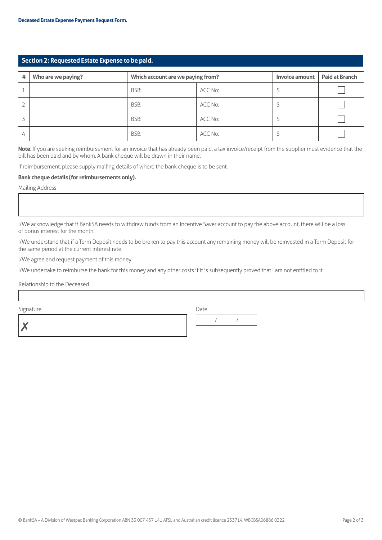# **Section 2: Requested Estate Expense to be paid.**

| # | Who are we paying? | Which account are we paying from? |         | Invoice amount | <b>Paid at Branch</b> |
|---|--------------------|-----------------------------------|---------|----------------|-----------------------|
|   |                    | BSB:                              | ACC No: |                |                       |
|   |                    | BSB:                              | ACC No: |                |                       |
|   |                    | BSB:                              | ACC No: |                |                       |
| 4 |                    | BSB:                              | ACC No: |                |                       |

**Note**: If you are seeking reimbursement for an invoice that has already been paid, a tax invoice/receipt from the supplier must evidence that the bill has been paid and by whom. A bank cheque will be drawn in their name.

If reimbursement, please supply mailing details of where the bank cheque is to be sent.

### **Bank cheque details (for reimbursements only).**

Mailing Address

I/We acknowledge that if BankSA needs to withdraw funds from an Incentive Saver account to pay the above account, there will be a loss of bonus interest for the month.

I/We understand that if a Term Deposit needs to be broken to pay this account any remaining money will be reinvested in a Term Deposit for the same period at the current interest rate.

I/We agree and request payment of this money.

I/We undertake to reimburse the bank for this money and any other costs if it is subsequently proved that I am not entitled to it.

Relationship to the Deceased

Signature Date

✗ / /